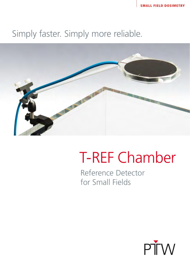### Simply faster. Simply more reliable.



## T-REF Chamber

Reference Detector for Small Fields

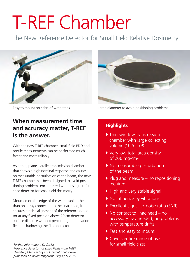# **T-REF Chamber**

The New Reference Detector for Small Field Relative Dosimetry





#### **When measurement time and accuracy matter, T-REF is the answer.**

With the new T-REF chamber, small field PDD and profile measurements can be performed much faster and more reliably.

As a thin, plane-parallel transmission chamber that shows a high nominal response and causes no measurable perturbation of the beam, the new T-REF chamber has been designed to avoid positioning problems encountered when using a reference detector for small field dosimetry.

Mounted on the edge of the water tank rather than on a tray connected to the linac head, it ensures precise alignment of the reference detector at any fixed position above 20 cm detector surface distance without perturbing the radiation field or shadowing the field detector.

*Further Information: D. Ceska: Reference detector for small fields – the T-REF chamber, Medical Physics International Journal, published on www.mpijournal.org April 2016* 

Easy to mount on edge of water tank Large diameter to avoid positioning problems

#### **Highlights**

- Thin-window transmission chamber with large collecting volume (10.5 cm<sup>3</sup>)
- ▶ Very low total area density of 206 mg/cm²
- No measurable perturbation of the beam
- $\blacktriangleright$  Plug and measure no repositioning required
- High and very stable signal
- ▶ No influence by vibrations
- Excellent signal-to-noise ratio (SNR)
- ▶ No contact to linac head no accessory tray needed, no problems with temperature drifts
- **Fast and easy to mount**
- ▶ Covers entire range of use for small field sizes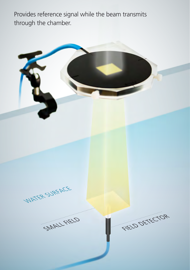Provides reference signal while the beam transmits through the chamber.

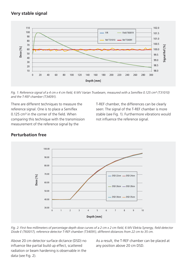#### **Very stable signal**



*Fig. 1: Reference signal of a 4 cm x 4 cm field, 6 MV Varian Truebeam, measured with a Semiflex 0.125 cm<sup>3</sup> (T31010) and the T-REF chamber (T34091).*

There are different techniques to measure the reference signal. One is to place a Semiflex 0.125 cm<sup>3</sup> in the corner of the field. When comparing this technique with the transmission measurement of the reference signal by the

T-REF chamber, the differences can be clearly seen: The signal of the T-REF chamber is more stable (see Fig. 1). Furthermore vibrations would not influence the reference signal.



#### **Perturbation free**

*Fig. 2: First few millimeters of percentage depth dose curves of a 2 cm x 2 cm field, 6 MV Elekta Synergy, field detector Diode E (T60017), reference detector T-REF chamber (T34091), different distances from 22 cm to 35 cm.*

Above 20 cm detector surface dictance (DSD) no influence like partial build up effect, scattered radiation or beam hardening is observable in the data (see Fig. 2).

As a result, the T-REF chamber can be placed at any position above 20 cm DSD.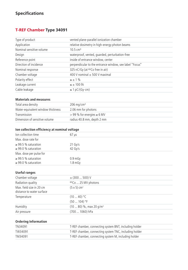#### **Specifications**

#### **T-REF Chamber Type 34091**

| Type of product          | vented plane-parallel ionization chamber                |
|--------------------------|---------------------------------------------------------|
| Application              | relative dosimetry in high-energy photon beams          |
| Nominal sensitive volume | $10.5 \text{ cm}^3$                                     |
| Design                   | waterproof, vented, quarded, perturbation-free          |
| Reference point          | inside of entrance window, center                       |
| Direction of incidence   | perpendicular to the entrance window, see label "Focus" |
| Nominal response         | 325 nC/Gy (at <sup>60</sup> Co free in air)             |
| Chamber voltage          | 400 V nominal $\pm$ 500 V maximal                       |
| Polarity effect          | $\leq \pm 1\%$                                          |
| Leakage current          | $\leq \pm 100$ fA                                       |
| Cable leakage            | $\leq$ 1 pC/(Gy·cm)                                     |
|                          |                                                         |

#### **Materials and measures**

| Total area density                | $206$ mg/cm <sup>2</sup>          |
|-----------------------------------|-----------------------------------|
| Water-equivalent window thickness | 2.06 mm for photons               |
| Transmission                      | $>$ 99 % for energies $\geq 6$ MV |
| Dimension of sensitive volume     | radius 40.8 mm, depth 2 mm        |

#### **Ion collection efficiency at nominal voltage**

| Ion collection time                                  | $67 \mu s$             |  |
|------------------------------------------------------|------------------------|--|
| Max. dose rate for                                   |                        |  |
| $\geq$ 99.5 % saturation<br>$\geq$ 99.0 % saturation | $21$ Gy/s<br>$42$ Gv/s |  |
| Max. dose per pulse for                              |                        |  |
| $\geq$ 99.5 % saturation<br>$\geq$ 99.0 % saturation | $0.9m$ Gy<br>$1.8m$ Gy |  |

#### **Useful ranges**

| Chamber voltage                                       | $\pm$ (300  500) V                  |
|-------------------------------------------------------|-------------------------------------|
| Radiation quality                                     | <sup>60</sup> Co  25 MV photons     |
| Max. field size in 20 cm<br>distance to water surface | $(5 \times 5)$ cm <sup>2</sup>      |
| Temperature                                           | $(1040)$ °C<br>$(50104)$ °F         |
| Humidity                                              | $(1080)$ %, max 20 g/m <sup>3</sup> |
| Air pressure                                          | (700  1060) hPa                     |
|                                                       |                                     |

#### **Ordering Information**

| TN34091 | T-REF chamber, connecting system BNT, including holder |
|---------|--------------------------------------------------------|
| TW34091 | T-REF chamber, connecting system TNC, including holder |
| TM34091 | T-REF chamber, connecting system M, including holder   |